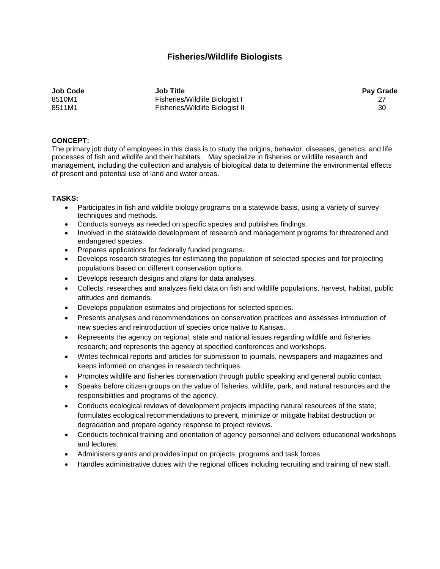## **Fisheries/Wildlife Biologists**

**Job Code Job Title Pay Grade** 8510M1 Fisheries/Wildlife Biologist I 27 8511M1 Fisheries/Wildlife Biologist II 30

## **CONCEPT:**

The primary job duty of employees in this class is to study the origins, behavior, diseases, genetics, and life processes of fish and wildlife and their habitats. May specialize in fisheries or wildlife research and management, including the collection and analysis of biological data to determine the environmental effects of present and potential use of land and water areas.

## **TASKS:**

- Participates in fish and wildlife biology programs on a statewide basis, using a variety of survey techniques and methods.
- Conducts surveys as needed on specific species and publishes findings.
- Involved in the statewide development of research and management programs for threatened and endangered species.
- Prepares applications for federally funded programs.
- Develops research strategies for estimating the population of selected species and for projecting populations based on different conservation options.
- Develops research designs and plans for data analyses.
- Collects, researches and analyzes field data on fish and wildlife populations, harvest, habitat, public attitudes and demands.
- Develops population estimates and projections for selected species.
- Presents analyses and recommendations on conservation practices and assesses introduction of new species and reintroduction of species once native to Kansas.
- Represents the agency on regional, state and national issues regarding wildlife and fisheries research; and represents the agency at specified conferences and workshops.
- Writes technical reports and articles for submission to journals, newspapers and magazines and keeps informed on changes in research techniques.
- Promotes wildlife and fisheries conservation through public speaking and general public contact.
- Speaks before citizen groups on the value of fisheries, wildlife, park, and natural resources and the responsibilities and programs of the agency.
- Conducts ecological reviews of development projects impacting natural resources of the state; formulates ecological recommendations to prevent, minimize or mitigate habitat destruction or degradation and prepare agency response to project reviews.
- Conducts technical training and orientation of agency personnel and delivers educational workshops and lectures.
- Administers grants and provides input on projects, programs and task forces.
- Handles administrative duties with the regional offices including recruiting and training of new staff.